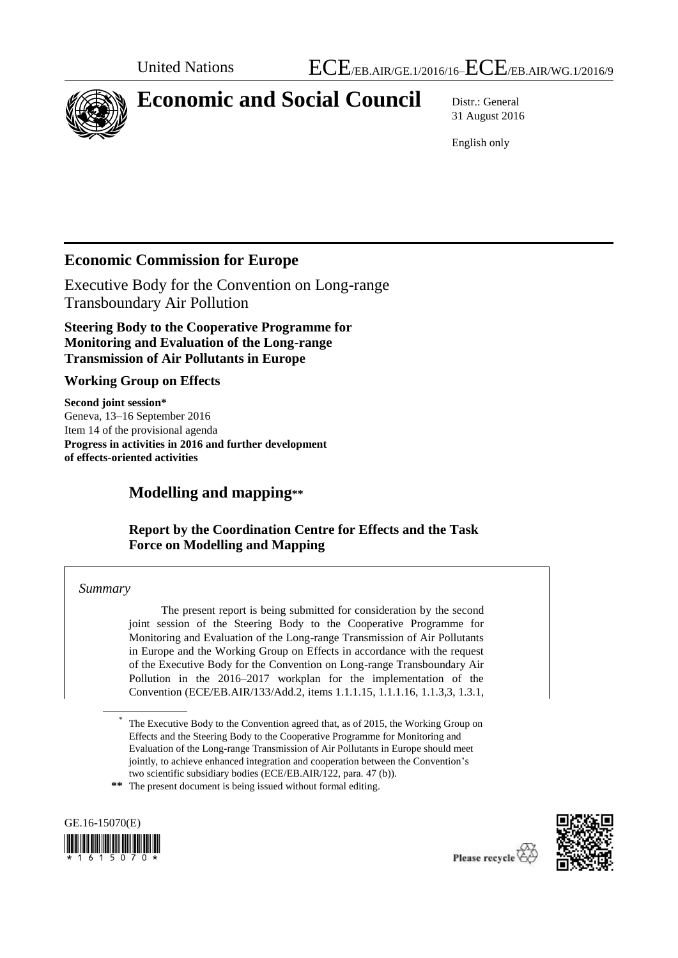

# **Economic and Social Council** Distr.: General

31 August 2016

English only

## **Economic Commission for Europe**

Executive Body for the Convention on Long-range Transboundary Air Pollution

**Steering Body to the Cooperative Programme for Monitoring and Evaluation of the Long-range Transmission of Air Pollutants in Europe**

## **Working Group on Effects**

**Second joint session\*** Geneva, 13–16 September 2016 Item 14 of the provisional agenda **Progress in activities in 2016 and further development of effects-oriented activities**

## **Modelling and mapping\*\***

## **Report by the Coordination Centre for Effects and the Task Force on Modelling and Mapping**

#### *Summary*

The present report is being submitted for consideration by the second joint session of the Steering Body to the Cooperative Programme for Monitoring and Evaluation of the Long-range Transmission of Air Pollutants in Europe and the Working Group on Effects in accordance with the request of the Executive Body for the Convention on Long-range Transboundary Air Pollution in the 2016–2017 workplan for the implementation of the Convention (ECE/EB.AIR/133/Add.2, items 1.1.1.15, 1.1.1.16, 1.1.3,3, 1.3.1,

**\*\*** The present document is being issued without formal editing.





<sup>\*</sup> The Executive Body to the Convention agreed that, as of 2015, the Working Group on Effects and the Steering Body to the Cooperative Programme for Monitoring and Evaluation of the Long-range Transmission of Air Pollutants in Europe should meet jointly, to achieve enhanced integration and cooperation between the Convention's two scientific subsidiary bodies (ECE/EB.AIR/122, para. 47 (b)).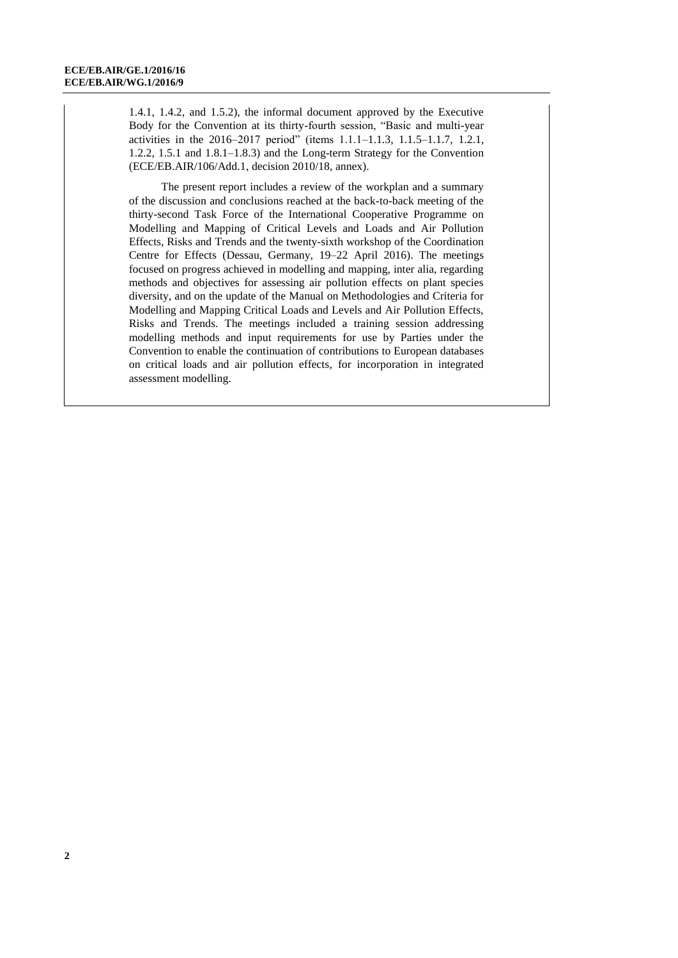1.4.1, 1.4.2, and 1.5.2), the informal document approved by the Executive Body for the Convention at its thirty-fourth session, "Basic and multi-year activities in the 2016–2017 period" (items 1.1.1–1.1.3, 1.1.5–1.1.7, 1.2.1, 1.2.2, 1.5.1 and 1.8.1–1.8.3) and the Long-term Strategy for the Convention (ECE/EB.AIR/106/Add.1, decision 2010/18, annex).

The present report includes a review of the workplan and a summary of the discussion and conclusions reached at the back-to-back meeting of the thirty-second Task Force of the International Cooperative Programme on Modelling and Mapping of Critical Levels and Loads and Air Pollution Effects, Risks and Trends and the twenty-sixth workshop of the Coordination Centre for Effects (Dessau, Germany, 19–22 April 2016). The meetings focused on progress achieved in modelling and mapping, inter alia, regarding methods and objectives for assessing air pollution effects on plant species diversity, and on the update of the Manual on Methodologies and Criteria for Modelling and Mapping Critical Loads and Levels and Air Pollution Effects, Risks and Trends. The meetings included a training session addressing modelling methods and input requirements for use by Parties under the Convention to enable the continuation of contributions to European databases on critical loads and air pollution effects, for incorporation in integrated assessment modelling.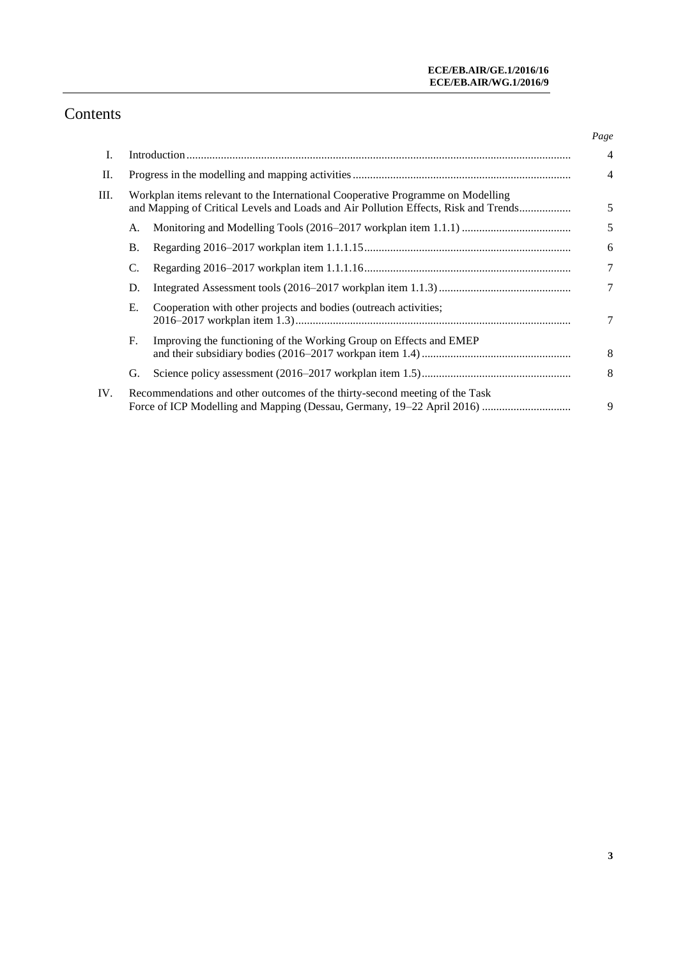## Contents

|     |                                                                                                                                                                        |                                                                             | Page           |
|-----|------------------------------------------------------------------------------------------------------------------------------------------------------------------------|-----------------------------------------------------------------------------|----------------|
| Ι.  |                                                                                                                                                                        |                                                                             | $\overline{4}$ |
| П.  |                                                                                                                                                                        |                                                                             | $\overline{4}$ |
| Ш.  | Workplan items relevant to the International Cooperative Programme on Modelling<br>and Mapping of Critical Levels and Loads and Air Pollution Effects, Risk and Trends |                                                                             | 5              |
|     | А.                                                                                                                                                                     |                                                                             | 5              |
|     | Β.                                                                                                                                                                     |                                                                             | 6              |
|     | C.                                                                                                                                                                     |                                                                             | $\tau$         |
|     | D.                                                                                                                                                                     |                                                                             | 7              |
|     | Е.                                                                                                                                                                     | Cooperation with other projects and bodies (outreach activities;            | 7              |
|     | F.                                                                                                                                                                     | Improving the functioning of the Working Group on Effects and EMEP          | 8              |
|     | G.                                                                                                                                                                     |                                                                             | 8              |
| IV. |                                                                                                                                                                        | Recommendations and other outcomes of the thirty-second meeting of the Task | 9              |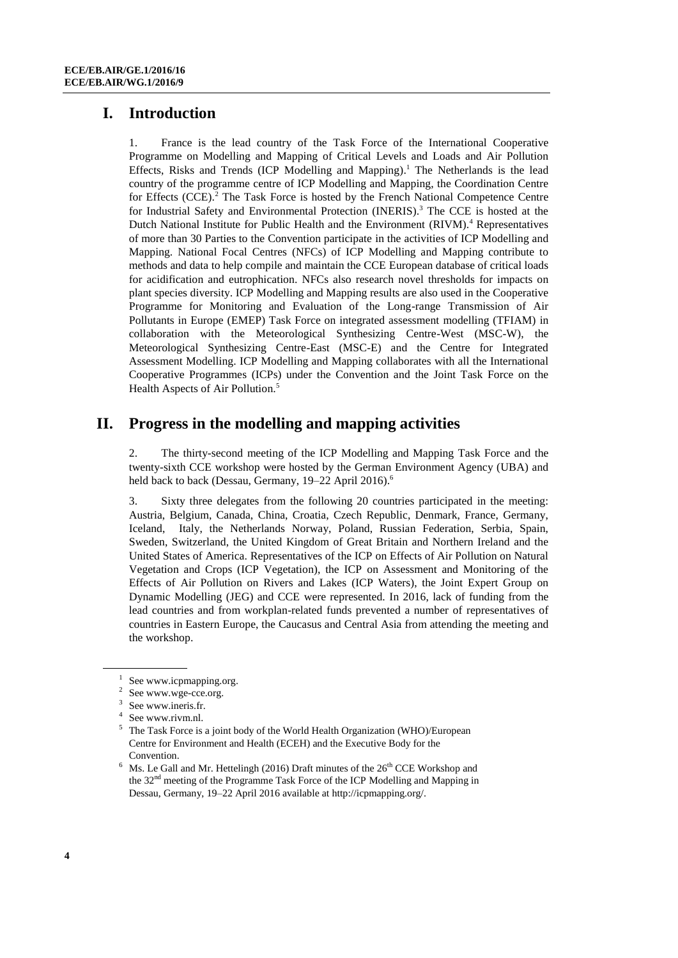## **I. Introduction**

1. France is the lead country of the Task Force of the International Cooperative Programme on Modelling and Mapping of Critical Levels and Loads and Air Pollution Effects, Risks and Trends (ICP Modelling and Mapping). <sup>1</sup> The Netherlands is the lead country of the programme centre of ICP Modelling and Mapping, the Coordination Centre for Effects (CCE).<sup>2</sup> The Task Force is hosted by the French National Competence Centre for Industrial Safety and Environmental Protection (INERIS). <sup>3</sup> The CCE is hosted at the Dutch National Institute for Public Health and the Environment (RIVM). <sup>4</sup> Representatives of more than 30 Parties to the Convention participate in the activities of ICP Modelling and Mapping. National Focal Centres (NFCs) of ICP Modelling and Mapping contribute to methods and data to help compile and maintain the CCE European database of critical loads for acidification and eutrophication. NFCs also research novel thresholds for impacts on plant species diversity. ICP Modelling and Mapping results are also used in the Cooperative Programme for Monitoring and Evaluation of the Long-range Transmission of Air Pollutants in Europe (EMEP) Task Force on integrated assessment modelling (TFIAM) in collaboration with the Meteorological Synthesizing Centre-West (MSC-W), the Meteorological Synthesizing Centre-East (MSC-E) and the Centre for Integrated Assessment Modelling. ICP Modelling and Mapping collaborates with all the International Cooperative Programmes (ICPs) under the Convention and the Joint Task Force on the Health Aspects of Air Pollution. 5

## **II. Progress in the modelling and mapping activities**

2. The thirty-second meeting of the ICP Modelling and Mapping Task Force and the twenty-sixth CCE workshop were hosted by the German Environment Agency (UBA) and held back to back (Dessau, Germany, 19–22 April 2016).<sup>6</sup>

3. Sixty three delegates from the following 20 countries participated in the meeting: Austria, Belgium, Canada, China, Croatia, Czech Republic, Denmark, France, Germany, Iceland, Italy, the Netherlands Norway, Poland, Russian Federation, Serbia, Spain, Sweden, Switzerland, the United Kingdom of Great Britain and Northern Ireland and the United States of America. Representatives of the ICP on Effects of Air Pollution on Natural Vegetation and Crops (ICP Vegetation), the ICP on Assessment and Monitoring of the Effects of Air Pollution on Rivers and Lakes (ICP Waters), the Joint Expert Group on Dynamic Modelling (JEG) and CCE were represented. In 2016, lack of funding from the lead countries and from workplan-related funds prevented a number of representatives of countries in Eastern Europe, the Caucasus and Central Asia from attending the meeting and the workshop.

<sup>1</sup> Se[e www.icpmapping.org.](file:///K:/1st%20joint%20session/Draft/www.icpmapping.org)

<sup>&</sup>lt;sup>2</sup> Se[e www.wge-cce.org.](file:///K:/1st%20joint%20session/Draft/www.wge-cce.org)

<sup>3</sup> Se[e www.ineris.fr.](http://www.ineris.fr/)

<sup>4</sup> Se[e www.rivm.nl.](http://www.rivm.nl/)

 $5$  The Task Force is a joint body of the World Health Organization (WHO)/European Centre for Environment and Health (ECEH) and the Executive Body for the Convention.

 $6$  Ms. Le Gall and Mr. Hettelingh (2016) Draft minutes of the 26<sup>th</sup> CCE Workshop and the 32nd meeting of the Programme Task Force of the ICP Modelling and Mapping in Dessau, Germany, 19–22 April 2016 available at [http://icpmapping.org/.](http://icpmapping.org/)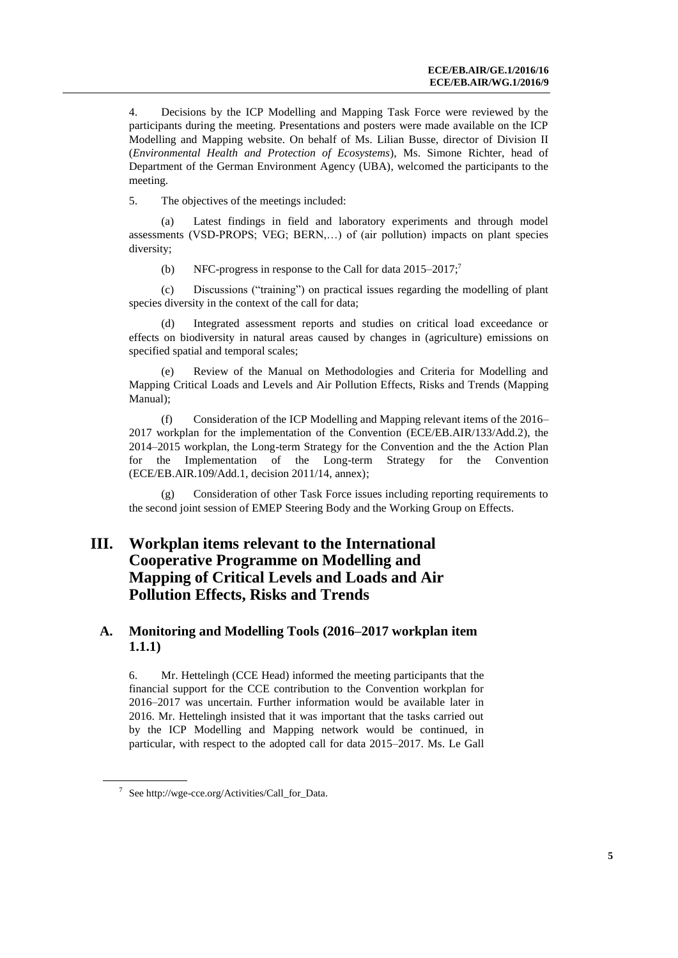4. Decisions by the ICP Modelling and Mapping Task Force were reviewed by the participants during the meeting. Presentations and posters were made available on the ICP Modelling and Mapping website. On behalf of Ms. Lilian Busse, director of Division II (*Environmental Health and Protection of Ecosystems*), Ms. Simone Richter, head of Department of the German Environment Agency (UBA), welcomed the participants to the meeting.

5. The objectives of the meetings included:

(a) Latest findings in field and laboratory experiments and through model assessments (VSD-PROPS; VEG; BERN,…) of (air pollution) impacts on plant species diversity;

(b) NFC-progress in response to the Call for data 2015–2017;<sup>7</sup>

(c) Discussions ("training") on practical issues regarding the modelling of plant species diversity in the context of the call for data;

(d) Integrated assessment reports and studies on critical load exceedance or effects on biodiversity in natural areas caused by changes in (agriculture) emissions on specified spatial and temporal scales;

(e) Review of the Manual on Methodologies and Criteria for Modelling and Mapping Critical Loads and Levels and Air Pollution Effects, Risks and Trends (Mapping Manual);

(f) Consideration of the ICP Modelling and Mapping relevant items of the 2016– 2017 workplan for the implementation of the Convention (ECE/EB.AIR/133/Add.2), the 2014–2015 workplan, the Long-term Strategy for the Convention and the the Action Plan for the Implementation of the Long-term Strategy for the Convention (ECE/EB.AIR.109/Add.1, decision 2011/14, annex);

(g) Consideration of other Task Force issues including reporting requirements to the second joint session of EMEP Steering Body and the Working Group on Effects.

## **III. Workplan items relevant to the International Cooperative Programme on Modelling and Mapping of Critical Levels and Loads and Air Pollution Effects, Risks and Trends**

#### **A. Monitoring and Modelling Tools (2016–2017 workplan item 1.1.1)**

6. Mr. Hettelingh (CCE Head) informed the meeting participants that the financial support for the CCE contribution to the Convention workplan for 2016–2017 was uncertain. Further information would be available later in 2016. Mr. Hettelingh insisted that it was important that the tasks carried out by the ICP Modelling and Mapping network would be continued, in particular, with respect to the adopted call for data 2015–2017. Ms. Le Gall

<sup>7</sup> Se[e http://wge-cce.org/Activities/Call\\_for\\_Data.](http://wge-cce.org/Activities/Call_for_Data)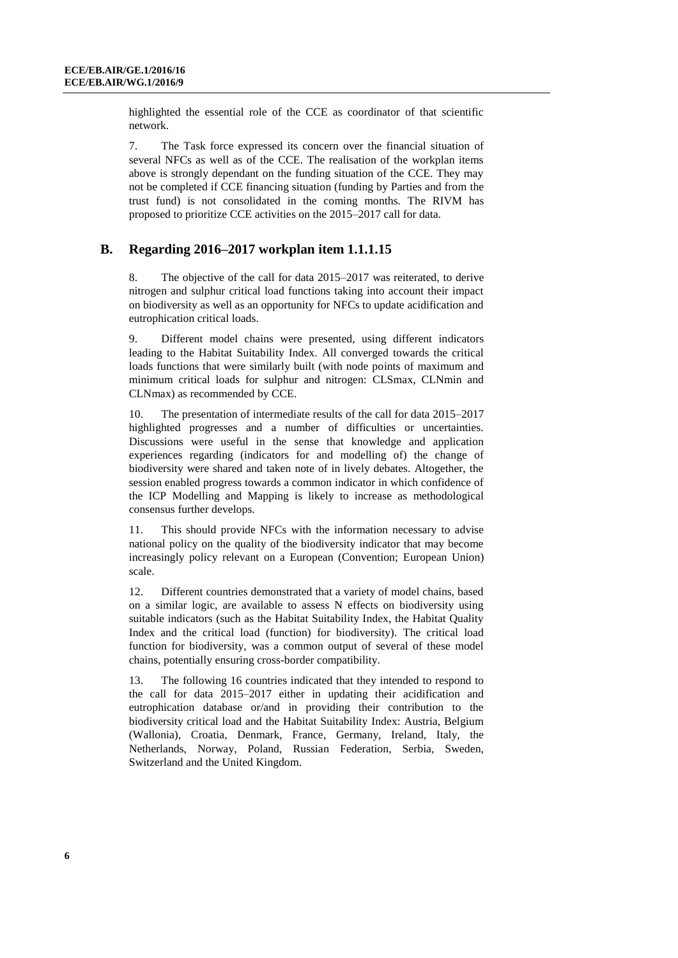highlighted the essential role of the CCE as coordinator of that scientific network.

7. The Task force expressed its concern over the financial situation of several NFCs as well as of the CCE. The realisation of the workplan items above is strongly dependant on the funding situation of the CCE. They may not be completed if CCE financing situation (funding by Parties and from the trust fund) is not consolidated in the coming months. The RIVM has proposed to prioritize CCE activities on the 2015–2017 call for data.

#### **B. Regarding 2016–2017 workplan item 1.1.1.15**

8. The objective of the call for data 2015–2017 was reiterated, to derive nitrogen and sulphur critical load functions taking into account their impact on biodiversity as well as an opportunity for NFCs to update acidification and eutrophication critical loads.

9. Different model chains were presented, using different indicators leading to the Habitat Suitability Index. All converged towards the critical loads functions that were similarly built (with node points of maximum and minimum critical loads for sulphur and nitrogen: CLSmax, CLNmin and CLNmax) as recommended by CCE.

10. The presentation of intermediate results of the call for data 2015–2017 highlighted progresses and a number of difficulties or uncertainties. Discussions were useful in the sense that knowledge and application experiences regarding (indicators for and modelling of) the change of biodiversity were shared and taken note of in lively debates. Altogether, the session enabled progress towards a common indicator in which confidence of the ICP Modelling and Mapping is likely to increase as methodological consensus further develops.

11. This should provide NFCs with the information necessary to advise national policy on the quality of the biodiversity indicator that may become increasingly policy relevant on a European (Convention; European Union) scale.

12. Different countries demonstrated that a variety of model chains, based on a similar logic, are available to assess N effects on biodiversity using suitable indicators (such as the Habitat Suitability Index, the Habitat Quality Index and the critical load (function) for biodiversity). The critical load function for biodiversity, was a common output of several of these model chains, potentially ensuring cross-border compatibility.

13. The following 16 countries indicated that they intended to respond to the call for data 2015–2017 either in updating their acidification and eutrophication database or/and in providing their contribution to the biodiversity critical load and the Habitat Suitability Index: Austria, Belgium (Wallonia), Croatia, Denmark, France, Germany, Ireland, Italy, the Netherlands, Norway, Poland, Russian Federation, Serbia, Sweden, Switzerland and the United Kingdom.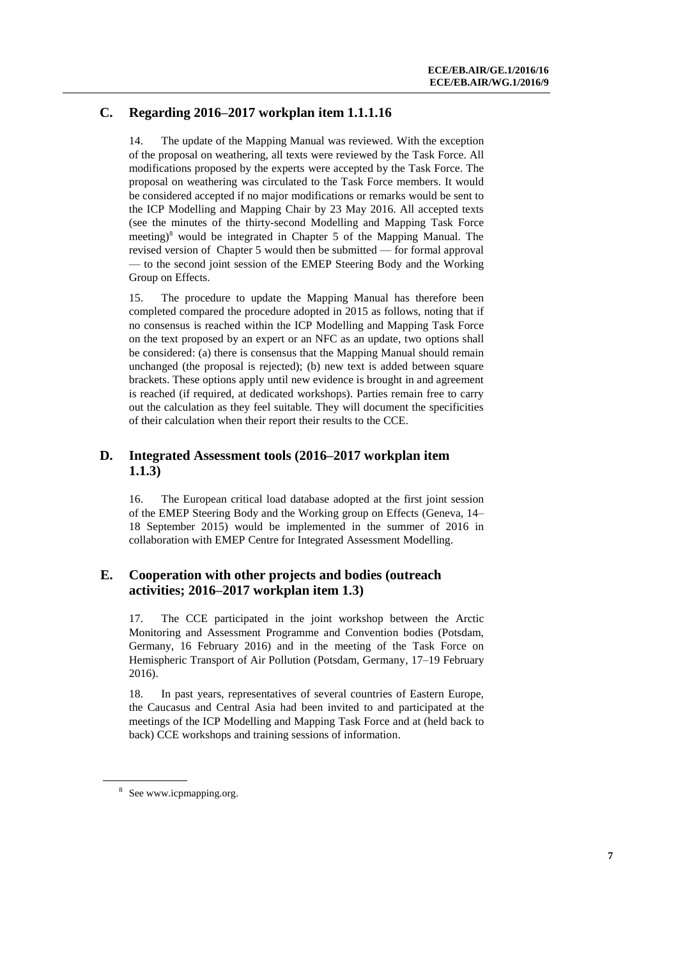### **C. Regarding 2016–2017 workplan item 1.1.1.16**

14. The update of the Mapping Manual was reviewed. With the exception of the proposal on weathering, all texts were reviewed by the Task Force. All modifications proposed by the experts were accepted by the Task Force. The proposal on weathering was circulated to the Task Force members. It would be considered accepted if no major modifications or remarks would be sent to the ICP Modelling and Mapping Chair by 23 May 2016. All accepted texts (see the minutes of the thirty-second Modelling and Mapping Task Force meetin[g\)](http://www.icpmapping.org)/) <sup>8</sup> would be integrated in Chapter 5 of the Mapping Manual. The revised version of Chapter 5 would then be submitted — for formal approval — to the second joint session of the EMEP Steering Body and the Working Group on Effects.

15. The procedure to update the Mapping Manual has therefore been completed compared the procedure adopted in 2015 as follows, noting that if no consensus is reached within the ICP Modelling and Mapping Task Force on the text proposed by an expert or an NFC as an update, two options shall be considered: (a) there is consensus that the Mapping Manual should remain unchanged (the proposal is rejected); (b) new text is added between square brackets. These options apply until new evidence is brought in and agreement is reached (if required, at dedicated workshops). Parties remain free to carry out the calculation as they feel suitable. They will document the specificities of their calculation when their report their results to the CCE.

### **D. Integrated Assessment tools (2016–2017 workplan item 1.1.3)**

16. The European critical load database adopted at the first joint session of the EMEP Steering Body and the Working group on Effects (Geneva, 14– 18 September 2015) would be implemented in the summer of 2016 in collaboration with EMEP Centre for Integrated Assessment Modelling.

#### **E. Cooperation with other projects and bodies (outreach activities; 2016–2017 workplan item 1.3)**

17. The CCE participated in the joint workshop between the Arctic Monitoring and Assessment Programme and Convention bodies (Potsdam, Germany, 16 February 2016) and in the meeting of the Task Force on Hemispheric Transport of Air Pollution (Potsdam, Germany, 17–19 February 2016).

18. In past years, representatives of several countries of Eastern Europe, the Caucasus and Central Asia had been invited to and participated at the meetings of the ICP Modelling and Mapping Task Force and at (held back to back) CCE workshops and training sessions of information.

<sup>8</sup> Se[e www.icpmapping.org.](http://www.icpmapping.org/)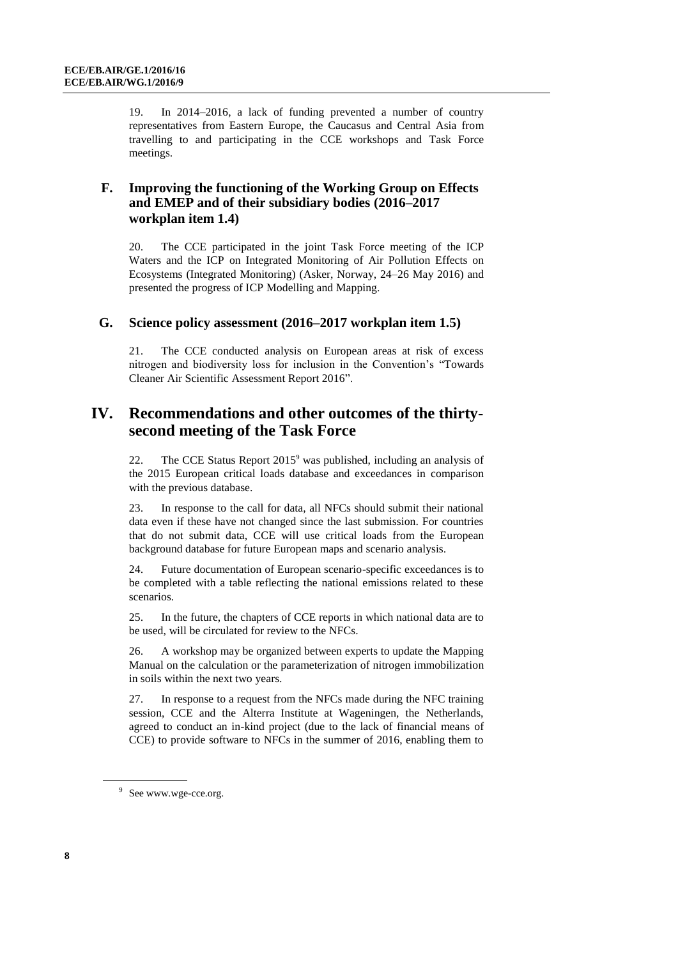19. In 2014–2016, a lack of funding prevented a number of country representatives from Eastern Europe, the Caucasus and Central Asia from travelling to and participating in the CCE workshops and Task Force meetings.

## **F. Improving the functioning of the Working Group on Effects and EMEP and of their subsidiary bodies (2016–2017 workplan item 1.4)**

20. The CCE participated in the joint Task Force meeting of the ICP Waters and the ICP on Integrated Monitoring of Air Pollution Effects on Ecosystems (Integrated Monitoring) (Asker, Norway, 24–26 May 2016) and presented the progress of ICP Modelling and Mapping.

#### **G. Science policy assessment (2016–2017 workplan item 1.5)**

21. The CCE conducted analysis on European areas at risk of excess nitrogen and biodiversity loss for inclusion in the Convention's "Towards Cleaner Air Scientific Assessment Report 2016".

## **IV. Recommendations and other outcomes of the thirtysecond meeting of the Task Force**

22. The CCE Status Report  $2015^9$  was published, including an analysis of the 2015 European critical loads database and exceedances in comparison with the previous database.

23. In response to the call for data, all NFCs should submit their national data even if these have not changed since the last submission. For countries that do not submit data, CCE will use critical loads from the European background database for future European maps and scenario analysis.

24. Future documentation of European scenario-specific exceedances is to be completed with a table reflecting the national emissions related to these scenarios.

25. In the future, the chapters of CCE reports in which national data are to be used, will be circulated for review to the NFCs.

26. A workshop may be organized between experts to update the Mapping Manual on the calculation or the parameterization of nitrogen immobilization in soils within the next two years.

27. In response to a request from the NFCs made during the NFC training session, CCE and the Alterra Institute at Wageningen, the Netherlands, agreed to conduct an in-kind project (due to the lack of financial means of CCE) to provide software to NFCs in the summer of 2016, enabling them to

<sup>&</sup>lt;sup>9</sup> See www.wge-cce.org.